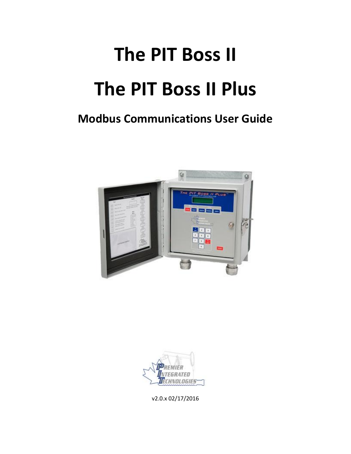# **The PIT Boss II The PIT Boss II Plus**

# **Modbus Communications User Guide**





v2.0.x 02/17/2016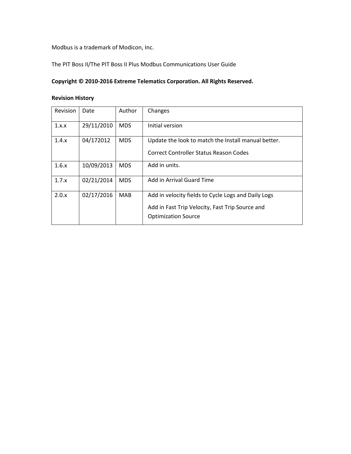Modbus is a trademark of Modicon, Inc.

The PIT Boss II/The PIT Boss II Plus Modbus Communications User Guide

### **Copyright © 2010-2016 Extreme Telematics Corporation. All Rights Reserved.**

#### **Revision History**

| Revision | Date       | Author     | Changes                                             |
|----------|------------|------------|-----------------------------------------------------|
| 1.x.x    | 29/11/2010 | <b>MDS</b> | Initial version                                     |
| 1.4.x    | 04/172012  | <b>MDS</b> | Update the look to match the Install manual better. |
|          |            |            | Correct Controller Status Reason Codes              |
| 1.6.x    | 10/09/2013 | <b>MDS</b> | Add in units.                                       |
| 1.7.x    | 02/21/2014 | <b>MDS</b> | Add in Arrival Guard Time                           |
| 2.0.x    | 02/17/2016 | <b>MAB</b> | Add in velocity fields to Cycle Logs and Daily Logs |
|          |            |            | Add in Fast Trip Velocity, Fast Trip Source and     |
|          |            |            | <b>Optimization Source</b>                          |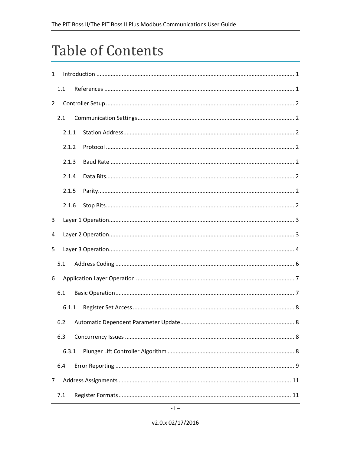# **Table of Contents**

| $\mathbf{1}$   |     |       |  |  |  |
|----------------|-----|-------|--|--|--|
|                | 1.1 |       |  |  |  |
| $\overline{2}$ |     |       |  |  |  |
|                | 2.1 |       |  |  |  |
|                |     | 2.1.1 |  |  |  |
|                |     | 2.1.2 |  |  |  |
|                |     | 2.1.3 |  |  |  |
|                |     | 2.1.4 |  |  |  |
|                |     | 2.1.5 |  |  |  |
|                |     | 2.1.6 |  |  |  |
| 3              |     |       |  |  |  |
| 4              |     |       |  |  |  |
| 5              |     |       |  |  |  |
|                | 5.1 |       |  |  |  |
| 6              |     |       |  |  |  |
|                | 6.1 |       |  |  |  |
|                |     | 6.1.1 |  |  |  |
|                | 6.2 |       |  |  |  |
|                | 6.3 |       |  |  |  |
|                |     | 6.3.1 |  |  |  |
|                | 6.4 |       |  |  |  |
| 7              |     |       |  |  |  |
|                | 7.1 |       |  |  |  |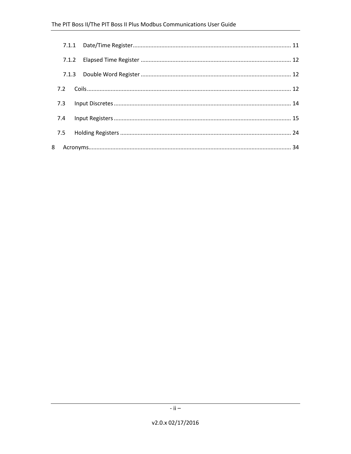| 7.2 |  |  |
|-----|--|--|
| 7.3 |  |  |
| 7.4 |  |  |
|     |  |  |
|     |  |  |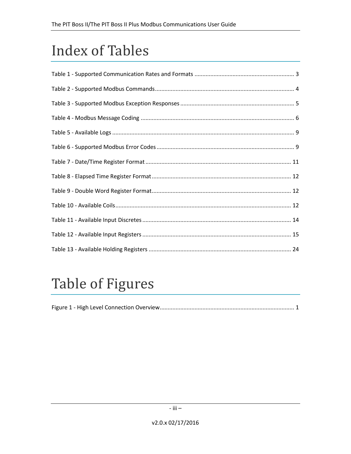# **Index of Tables**

# **Table of Figures**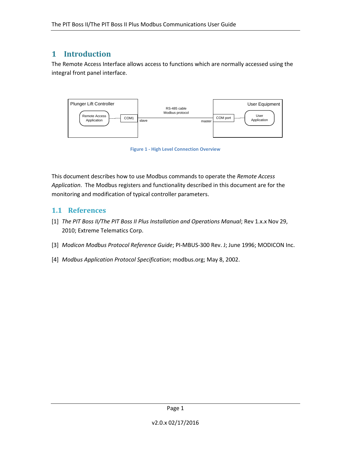# **1 Introduction**

The Remote Access Interface allows access to functions which are normally accessed using the integral front panel interface.



**Figure 1 - High Level Connection Overview**

<span id="page-5-0"></span>This document describes how to use Modbus commands to operate the *Remote Access Application*. The Modbus registers and functionality described in this document are for the monitoring and modification of typical controller parameters.

# **1.1 References**

- [1] *The PIT Boss II/The PIT Boss II Plus Installation and Operations Manual*; Rev 1.x.x Nov 29, 2010; Extreme Telematics Corp.
- <span id="page-5-1"></span>[3] *Modicon Modbus Protocol Reference Guide*; PI-MBUS-300 Rev. J; June 1996; MODICON Inc.
- <span id="page-5-2"></span>[4] *Modbus Application Protocol Specification*; modbus.org; May 8, 2002.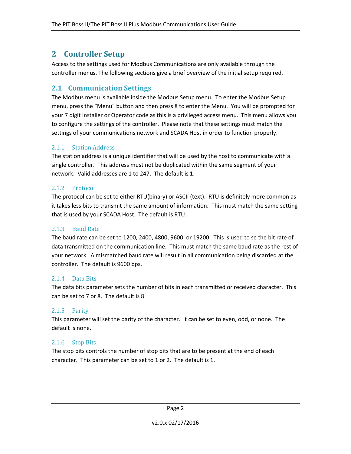# **2 Controller Setup**

Access to the settings used for Modbus Communications are only available through the controller menus. The following sections give a brief overview of the initial setup required.

# **2.1 Communication Settings**

The Modbus menu is available inside the Modbus Setup menu. To enter the Modbus Setup menu, press the "Menu" button and then press 8 to enter the Menu. You will be prompted for your 7 digit Installer or Operator code as this is a privileged access menu. This menu allows you to configure the settings of the controller. Please note that these settings must match the settings of your communications network and SCADA Host in order to function properly.

#### 2.1.1 Station Address

The station address is a unique identifier that will be used by the host to communicate with a single controller. This address must not be duplicated within the same segment of your network. Valid addresses are 1 to 247. The default is 1.

#### 2.1.2 Protocol

The protocol can be set to either RTU(binary) or ASCII (text). RTU is definitely more common as it takes less bits to transmit the same amount of information. This must match the same setting that is used by your SCADA Host. The default is RTU.

#### 2.1.3 Baud Rate

The baud rate can be set to 1200, 2400, 4800, 9600, or 19200. This is used to se the bit rate of data transmitted on the communication line. This must match the same baud rate as the rest of your network. A mismatched baud rate will result in all communication being discarded at the controller. The default is 9600 bps.

#### 2.1.4 Data Bits

The data bits parameter sets the number of bits in each transmitted or received character. This can be set to 7 or 8. The default is 8.

#### 2.1.5 Parity

This parameter will set the parity of the character. It can be set to even, odd, or none. The default is none.

#### 2.1.6 Stop Bits

The stop bits controls the number of stop bits that are to be present at the end of each character. This parameter can be set to 1 or 2. The default is 1.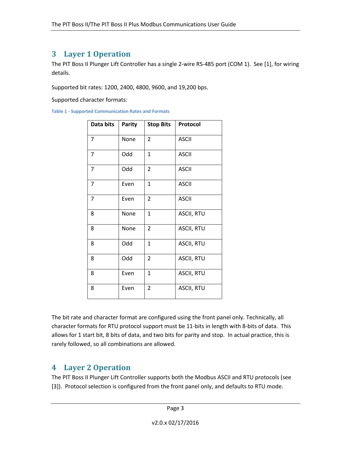# **3 Layer 1 Operation**

The PIT Boss II Plunger Lift Controller has a single 2-wire RS-485 port (COM 1). See [1], for wiring details.

Supported bit rates: 1200, 2400, 4800, 9600, and 19,200 bps.

Supported character formats:

<span id="page-7-0"></span>**Table 1 - Supported Communication Rates and Formats**

| Data bits      | Parity | <b>Stop Bits</b> | Protocol          |
|----------------|--------|------------------|-------------------|
| $\overline{7}$ | None   | $\overline{2}$   | <b>ASCII</b>      |
| 7              | Odd    | $\mathbf{1}$     | <b>ASCII</b>      |
| 7              | Odd    | $\overline{2}$   | <b>ASCII</b>      |
| 7              | Even   | $\mathbf{1}$     | <b>ASCII</b>      |
| $\overline{7}$ | Even   | 2                | <b>ASCII</b>      |
| 8              | None   | $\mathbf{1}$     | <b>ASCII, RTU</b> |
| 8              | None   | $\overline{2}$   | <b>ASCII, RTU</b> |
| 8              | Odd    | 1                | <b>ASCII, RTU</b> |
| 8              | Odd    | 2                | <b>ASCII, RTU</b> |
| 8              | Even   | $\mathbf{1}$     | <b>ASCII, RTU</b> |
| 8              | Even   | $\overline{2}$   | <b>ASCII, RTU</b> |

The bit rate and character format are configured using the front panel only. Technically, all character formats for RTU protocol support must be 11-bits in length with 8-bits of data. This allows for 1 start bit, 8 bits of data, and two bits for parity and stop. In actual practice, this is rarely followed, so all combinations are allowed.

# **4 Layer 2 Operation**

The PIT Boss II Plunger Lift Controller supports both the Modbus ASCII and RTU protocols (see [\[3\]\)](#page-5-1). Protocol selection is configured from the front panel only, and defaults to RTU mode.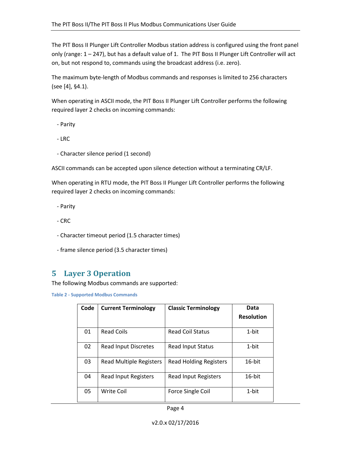The PIT Boss II Plunger Lift Controller Modbus station address is configured using the front panel only (range: 1 – 247), but has a default value of 1. The PIT Boss II Plunger Lift Controller will act on, but not respond to, commands using the broadcast address (i.e. zero).

The maximum byte-length of Modbus commands and responses is limited to 256 characters (see [\[4\],](#page-5-2) §4.1).

When operating in ASCII mode, the PIT Boss II Plunger Lift Controller performs the following required layer 2 checks on incoming commands:

- Parity

- LRC

- Character silence period (1 second)

ASCII commands can be accepted upon silence detection without a terminating CR/LF.

When operating in RTU mode, the PIT Boss II Plunger Lift Controller performs the following required layer 2 checks on incoming commands:

- Parity

- CRC
- Character timeout period (1.5 character times)
- frame silence period (3.5 character times)

# **5 Layer 3 Operation**

The following Modbus commands are supported:

<span id="page-8-0"></span>**Table 2 - Supported Modbus Commands**

| Code | <b>Current Terminology</b>     | <b>Classic Terminology</b>    | Data              |
|------|--------------------------------|-------------------------------|-------------------|
|      |                                |                               | <b>Resolution</b> |
| 01   | <b>Read Coils</b>              | <b>Read Coil Status</b>       | 1-bit             |
| 02   | <b>Read Input Discretes</b>    | Read Input Status             | $1$ -bit          |
| 03   | <b>Read Multiple Registers</b> | <b>Read Holding Registers</b> | 16-bit            |
| 04   | <b>Read Input Registers</b>    | Read Input Registers          | $16$ -bit         |
| 05   | Write Coil                     | Force Single Coil             | $1$ -bit          |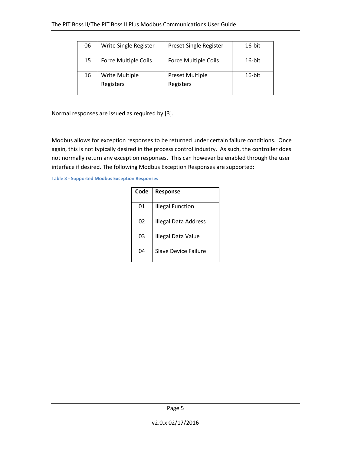| 06 | Write Single Register       | Preset Single Register              | 16-bit |
|----|-----------------------------|-------------------------------------|--------|
| 15 | <b>Force Multiple Coils</b> | <b>Force Multiple Coils</b>         | 16-bit |
| 16 | Write Multiple<br>Registers | <b>Preset Multiple</b><br>Registers | 16-bit |

Normal responses are issued as required by [\[3\].](#page-5-1)

Modbus allows for exception responses to be returned under certain failure conditions. Once again, this is not typically desired in the process control industry. As such, the controller does not normally return any exception responses. This can however be enabled through the user interface if desired. The following Modbus Exception Responses are supported:

<span id="page-9-0"></span>**Table 3 - Supported Modbus Exception Responses**

| Code | Response                    |
|------|-----------------------------|
| 01   | <b>Illegal Function</b>     |
| 02   | Illegal Data Address        |
| 03   | Illegal Data Value          |
| ⋂4   | <b>Slave Device Failure</b> |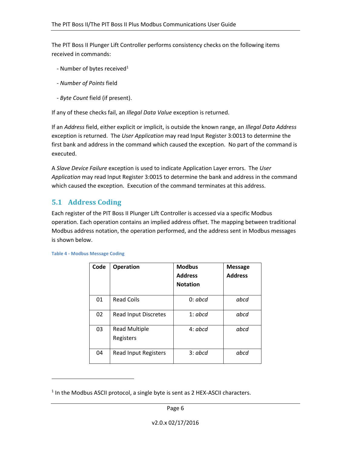The PIT Boss II Plunger Lift Controller performs consistency checks on the following items received in commands:

- Number of bytes received<sup>1</sup>
- *Number of Points* field
- *Byte Count* field (if present).

If any of these checks fail, an *Illegal Data Value* exception is returned.

If an *Address* field, either explicit or implicit, is outside the known range, an *Illegal Data Address* exception is returned. The *User Application* may read Input Register 3:0013 to determine the first bank and address in the command which caused the exception. No part of the command is executed.

A *Slave Device Failure* exception is used to indicate Application Layer errors. The *User Application* may read Input Register 3:0015 to determine the bank and address in the command which caused the exception. Execution of the command terminates at this address.

# **5.1 Address Coding**

Each register of the PIT Boss II Plunger Lift Controller is accessed via a specific Modbus operation. Each operation contains an implied address offset. The mapping between traditional Modbus address notation, the operation performed, and the address sent in Modbus messages is shown below.

| Code | <b>Operation</b>                  | <b>Modbus</b><br><b>Address</b><br><b>Notation</b> | <b>Message</b><br><b>Address</b> |
|------|-----------------------------------|----------------------------------------------------|----------------------------------|
| 01   | <b>Read Coils</b>                 | 0:abcd                                             | abcd                             |
| 02   | <b>Read Input Discretes</b>       | 1:abcd                                             | abcd                             |
| 03   | <b>Read Multiple</b><br>Registers | 4:abcd                                             | abcd                             |
| 04   | <b>Read Input Registers</b>       | 3:abcd                                             | abcd                             |

<span id="page-10-0"></span>

|  |  |  | <b>Table 4 - Modbus Message Coding</b> |  |
|--|--|--|----------------------------------------|--|
|--|--|--|----------------------------------------|--|

 $\overline{\phantom{a}}$ 

 $<sup>1</sup>$  In the Modbus ASCII protocol, a single byte is sent as 2 HEX-ASCII characters.</sup>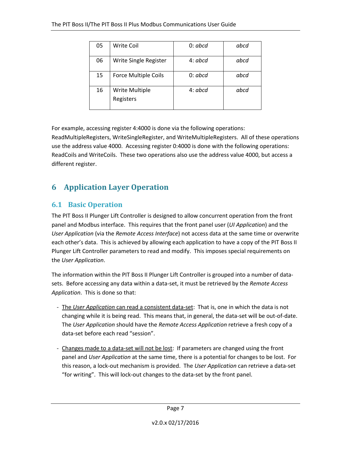| 05 | Write Coil                  | 0:abcd  | abcd |
|----|-----------------------------|---------|------|
| 06 | Write Single Register       | 4: abcd | abcd |
| 15 | <b>Force Multiple Coils</b> | 0:abcd  | abcd |
| 16 | Write Multiple<br>Registers | 4: abcd | abcd |

For example, accessing register 4:4000 is done via the following operations:

ReadMultipleRegisters, WriteSingleRegister, and WriteMultipleRegisters. All of these operations use the address value 4000. Accessing register 0:4000 is done with the following operations: ReadCoils and WriteCoils. These two operations also use the address value 4000, but access a different register.

# **6 Application Layer Operation**

# **6.1 Basic Operation**

The PIT Boss II Plunger Lift Controller is designed to allow concurrent operation from the front panel and Modbus interface. This requires that the front panel user (*UI Application*) and the *User Application* (via the *Remote Access Interface*) not access data at the same time or overwrite each other's data. This is achieved by allowing each application to have a copy of the PIT Boss II Plunger Lift Controller parameters to read and modify. This imposes special requirements on the *User Application*.

The information within the PIT Boss II Plunger Lift Controller is grouped into a number of datasets. Before accessing any data within a data-set, it must be retrieved by the *Remote Access Application*. This is done so that:

- The *User Application* can read a consistent data-set: That is, one in which the data is not changing while it is being read. This means that, in general, the data-set will be out-of-date. The *User Application* should have the *Remote Access Application* retrieve a fresh copy of a data-set before each read "session".
- Changes made to a data-set will not be lost: If parameters are changed using the front panel and *User Application* at the same time, there is a potential for changes to be lost. For this reason, a lock-out mechanism is provided. The *User Application* can retrieve a data-set "for writing". This will lock-out changes to the data-set by the front panel.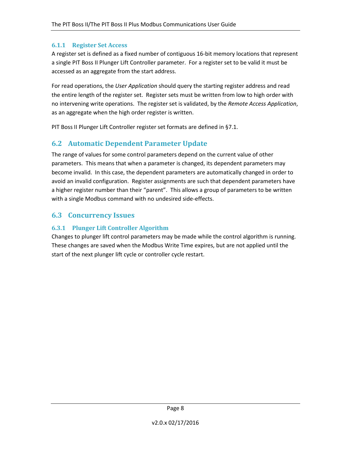#### **6.1.1 Register Set Access**

A register set is defined as a fixed number of contiguous 16-bit memory locations that represent a single PIT Boss II Plunger Lift Controller parameter. For a register set to be valid it must be accessed as an aggregate from the start address.

For read operations, the *User Application* should query the starting register address and read the entire length of the register set. Register sets must be written from low to high order with no intervening write operations. The register set is validated, by the *Remote Access Application*, as an aggregate when the high order register is written.

PIT Boss II Plunger Lift Controller register set formats are defined in [§7.1.](#page-15-1)

### **6.2 Automatic Dependent Parameter Update**

The range of values for some control parameters depend on the current value of other parameters. This means that when a parameter is changed, its dependent parameters may become invalid. In this case, the dependent parameters are automatically changed in order to avoid an invalid configuration. Register assignments are such that dependent parameters have a higher register number than their "parent". This allows a group of parameters to be written with a single Modbus command with no undesired side-effects.

### **6.3 Concurrency Issues**

#### **6.3.1 Plunger Lift Controller Algorithm**

Changes to plunger lift control parameters may be made while the control algorithm is running. These changes are saved when the Modbus Write Time expires, but are not applied until the start of the next plunger lift cycle or controller cycle restart.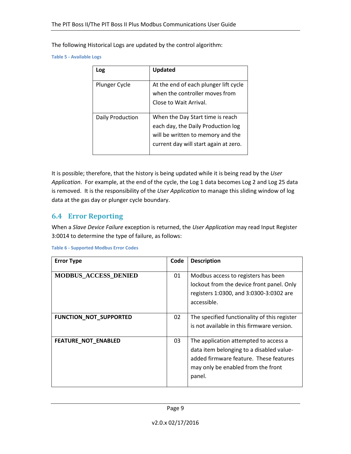The following Historical Logs are updated by the control algorithm:

<span id="page-13-0"></span>**Table 5 - Available Logs**

| Log              | Updated                                                                                                                                              |
|------------------|------------------------------------------------------------------------------------------------------------------------------------------------------|
| Plunger Cycle    | At the end of each plunger lift cycle<br>when the controller moves from<br>Close to Wait Arrival.                                                    |
| Daily Production | When the Day Start time is reach<br>each day, the Daily Production log<br>will be written to memory and the<br>current day will start again at zero. |

It is possible; therefore, that the history is being updated while it is being read by the *User Application*. For example, at the end of the cycle, the Log 1 data becomes Log 2 and Log 25 data is removed. It is the responsibility of the *User Application* to manage this sliding window of log data at the gas day or plunger cycle boundary.

### **6.4 Error Reporting**

When a *Slave Device Failure* exception is returned, the *User Application* may read Input Register 3:0014 to determine the type of failure, as follows:

| <b>Error Type</b>             | Code | <b>Description</b>                                                                                                                                                          |
|-------------------------------|------|-----------------------------------------------------------------------------------------------------------------------------------------------------------------------------|
| <b>MODBUS_ACCESS_DENIED</b>   | 01   | Modbus access to registers has been<br>lockout from the device front panel. Only<br>registers 1:0300, and 3:0300-3:0302 are<br>accessible.                                  |
| <b>FUNCTION_NOT_SUPPORTED</b> | 02   | The specified functionality of this register<br>is not available in this firmware version.                                                                                  |
| <b>FEATURE NOT ENABLED</b>    | 03   | The application attempted to access a<br>data item belonging to a disabled value-<br>added firmware feature. These features<br>may only be enabled from the front<br>panel. |

<span id="page-13-1"></span>**Table 6 - Supported Modbus Error Codes**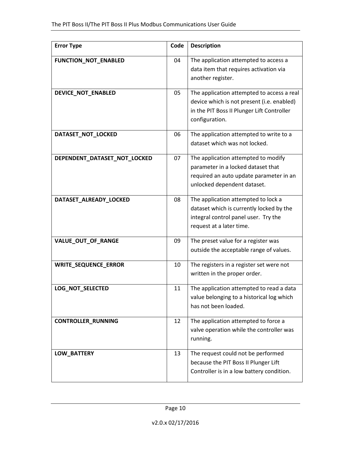| <b>Error Type</b>            | Code | <b>Description</b>                                                                                                                                       |
|------------------------------|------|----------------------------------------------------------------------------------------------------------------------------------------------------------|
| FUNCTION_NOT_ENABLED         | 04   | The application attempted to access a<br>data item that requires activation via<br>another register.                                                     |
| DEVICE_NOT_ENABLED           | 05   | The application attempted to access a real<br>device which is not present (i.e. enabled)<br>in the PIT Boss II Plunger Lift Controller<br>configuration. |
| DATASET_NOT_LOCKED           | 06   | The application attempted to write to a<br>dataset which was not locked.                                                                                 |
| DEPENDENT_DATASET_NOT_LOCKED | 07   | The application attempted to modify<br>parameter in a locked dataset that<br>required an auto update parameter in an<br>unlocked dependent dataset.      |
| DATASET_ALREADY_LOCKED       | 08   | The application attempted to lock a<br>dataset which is currently locked by the<br>integral control panel user. Try the<br>request at a later time.      |
| VALUE_OUT_OF_RANGE           | 09   | The preset value for a register was<br>outside the acceptable range of values.                                                                           |
| <b>WRITE_SEQUENCE_ERROR</b>  | 10   | The registers in a register set were not<br>written in the proper order.                                                                                 |
| LOG_NOT_SELECTED             | 11   | The application attempted to read a data<br>value belonging to a historical log which<br>has not been loaded.                                            |
| <b>CONTROLLER_RUNNING</b>    | 12   | The application attempted to force a<br>valve operation while the controller was<br>running.                                                             |
| LOW_BATTERY                  | 13   | The request could not be performed<br>because the PIT Boss II Plunger Lift<br>Controller is in a low battery condition.                                  |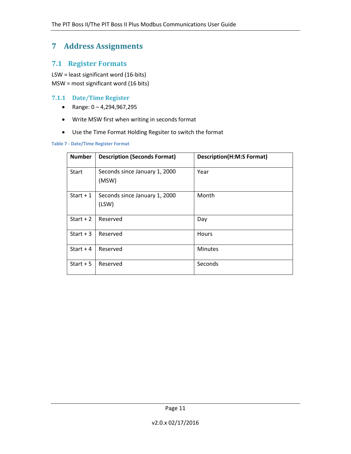# **7 Address Assignments**

### <span id="page-15-1"></span>**7.1 Register Formats**

LSW = least significant word (16-bits) MSW = most significant word (16 bits)

#### **7.1.1 Date/Time Register**

- Range:  $0 4,294,967,295$
- Write MSW first when writing in seconds format
- Use the Time Format Holding Regsiter to switch the format

#### <span id="page-15-0"></span>**Table 7 - Date/Time Register Format**

| <b>Number</b> | <b>Description (Seconds Format)</b>    | <b>Description(H:M:S Format)</b> |
|---------------|----------------------------------------|----------------------------------|
| Start         | Seconds since January 1, 2000<br>(MSW) | Year                             |
| Start $+1$    | Seconds since January 1, 2000<br>(LSW) | Month                            |
| Start $+2$    | Reserved                               | Day                              |
| Start $+3$    | Reserved                               | <b>Hours</b>                     |
| Start $+4$    | Reserved                               | <b>Minutes</b>                   |
| Start $+5$    | Reserved                               | Seconds                          |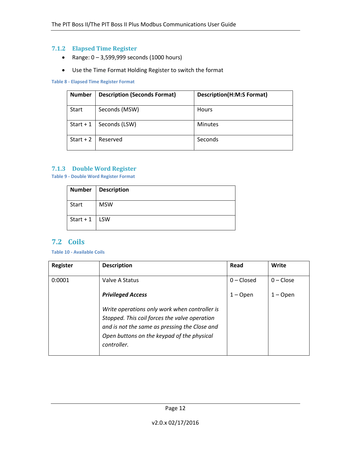#### **7.1.2 Elapsed Time Register**

- Range:  $0 3,599,999$  seconds (1000 hours)
- Use the Time Format Holding Register to switch the format

#### <span id="page-16-0"></span>**Table 8 - Elapsed Time Register Format**

| <b>Number</b> | <b>Description (Seconds Format)</b> | <b>Description(H:M:S Format)</b> |
|---------------|-------------------------------------|----------------------------------|
| <b>Start</b>  | Seconds (MSW)                       | <b>Hours</b>                     |
| Start $+1$    | Seconds (LSW)                       | <b>Minutes</b>                   |
| Start $+2$    | Reserved                            | Seconds                          |

#### **7.1.3 Double Word Register**

<span id="page-16-1"></span>**Table 9 - Double Word Register Format**

|                   | Number   Description |
|-------------------|----------------------|
| Start             | <b>MSW</b>           |
| Start + $1$   LSW |                      |

# **7.2 Coils**

#### <span id="page-16-2"></span>**Table 10 - Available Coils**

| <b>Register</b> | <b>Description</b>                                                                                                                                                                                           | Read         | Write       |
|-----------------|--------------------------------------------------------------------------------------------------------------------------------------------------------------------------------------------------------------|--------------|-------------|
| 0:0001          | Valve A Status                                                                                                                                                                                               | $0$ – Closed | $0$ – Close |
|                 | <b>Privileged Access</b>                                                                                                                                                                                     | $1 -$ Open   | $1 -$ Open  |
|                 | Write operations only work when controller is<br>Stopped. This coil forces the valve operation<br>and is not the same as pressing the Close and<br>Open buttons on the keypad of the physical<br>controller. |              |             |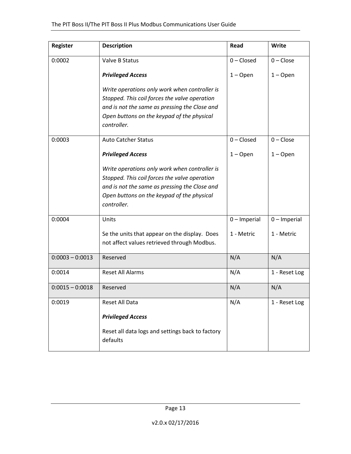| Register          | <b>Description</b>                                                                                                                                                                                                                       | Read           | Write          |
|-------------------|------------------------------------------------------------------------------------------------------------------------------------------------------------------------------------------------------------------------------------------|----------------|----------------|
| 0:0002            | Valve B Status                                                                                                                                                                                                                           | $0$ – Closed   | $0$ – Close    |
|                   | <b>Privileged Access</b>                                                                                                                                                                                                                 | $1 -$ Open     | $1 -$ Open     |
|                   | Write operations only work when controller is<br>Stopped. This coil forces the valve operation<br>and is not the same as pressing the Close and<br>Open buttons on the keypad of the physical<br>controller.                             |                |                |
| 0:0003            | <b>Auto Catcher Status</b>                                                                                                                                                                                                               | $0$ – Closed   | $0$ – Close    |
|                   | <b>Privileged Access</b><br>Write operations only work when controller is<br>Stopped. This coil forces the valve operation<br>and is not the same as pressing the Close and<br>Open buttons on the keypad of the physical<br>controller. | $1 -$ Open     | $1 -$ Open     |
| 0:0004            | Units                                                                                                                                                                                                                                    | $0$ – Imperial | $0$ – Imperial |
|                   | Se the units that appear on the display. Does<br>not affect values retrieved through Modbus.                                                                                                                                             | 1 - Metric     | 1 - Metric     |
| $0:0003 - 0:0013$ | Reserved                                                                                                                                                                                                                                 | N/A            | N/A            |
| 0:0014            | <b>Reset All Alarms</b>                                                                                                                                                                                                                  | N/A            | 1 - Reset Log  |
| $0:0015 - 0:0018$ | Reserved                                                                                                                                                                                                                                 | N/A            | N/A            |
| 0:0019            | Reset All Data<br><b>Privileged Access</b>                                                                                                                                                                                               | N/A            | 1 - Reset Log  |
|                   | Reset all data logs and settings back to factory<br>defaults                                                                                                                                                                             |                |                |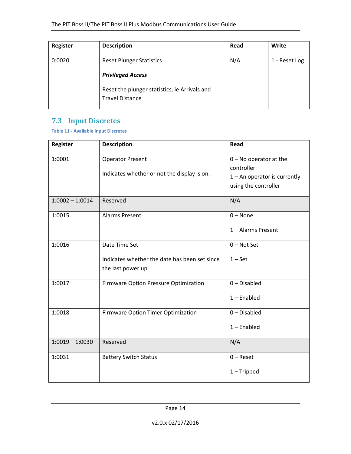| <b>Register</b> | <b>Description</b>                                                      | Read | Write         |
|-----------------|-------------------------------------------------------------------------|------|---------------|
| 0:0020          | <b>Reset Plunger Statistics</b><br><b>Privileged Access</b>             | N/A  | 1 - Reset Log |
|                 | Reset the plunger statistics, ie Arrivals and<br><b>Travel Distance</b> |      |               |

# **7.3 Input Discretes**

<span id="page-18-0"></span>**Table 11 - Available Input Discretes**

| <b>Register</b>   | <b>Description</b>                                                                  | Read                                                                                             |
|-------------------|-------------------------------------------------------------------------------------|--------------------------------------------------------------------------------------------------|
| 1:0001            | <b>Operator Present</b><br>Indicates whether or not the display is on.              | $0 - No operator at the$<br>controller<br>$1 -$ An operator is currently<br>using the controller |
| $1:0002 - 1:0014$ | Reserved                                                                            | N/A                                                                                              |
| 1:0015            | <b>Alarms Present</b>                                                               | $0 - None$<br>1 - Alarms Present                                                                 |
| 1:0016            | Date Time Set<br>Indicates whether the date has been set since<br>the last power up | $0$ – Not Set<br>$1 - Set$                                                                       |
| 1:0017            | Firmware Option Pressure Optimization                                               | $0$ – Disabled<br>$1$ – Enabled                                                                  |
| 1:0018            | Firmware Option Timer Optimization                                                  | $0$ – Disabled<br>$1$ – Enabled                                                                  |
| $1:0019 - 1:0030$ | Reserved                                                                            | N/A                                                                                              |
| 1:0031            | <b>Battery Switch Status</b>                                                        | $0 -$ Reset<br>$1 -$ Tripped                                                                     |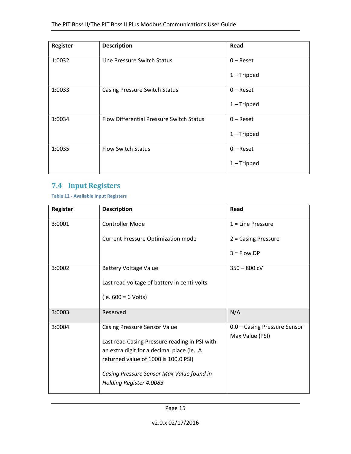| <b>Register</b> | <b>Description</b>                       | Read          |
|-----------------|------------------------------------------|---------------|
| 1:0032          | Line Pressure Switch Status              | $0 -$ Reset   |
|                 |                                          | $1$ – Tripped |
| 1:0033          | <b>Casing Pressure Switch Status</b>     | $0 -$ Reset   |
|                 |                                          | $1$ – Tripped |
| 1:0034          | Flow Differential Pressure Switch Status | $0 -$ Reset   |
|                 |                                          | $1$ – Tripped |
| 1:0035          | <b>Flow Switch Status</b>                | $0 -$ Reset   |
|                 |                                          | $1$ – Tripped |

# **7.4 Input Registers**

<span id="page-19-0"></span>**Table 12 - Available Input Registers**

| <b>Register</b> | <b>Description</b>                            | Read                         |
|-----------------|-----------------------------------------------|------------------------------|
| 3:0001          | <b>Controller Mode</b>                        | $1 =$ Line Pressure          |
|                 | <b>Current Pressure Optimization mode</b>     | $2 =$ Casing Pressure        |
|                 |                                               | $3 =$ Flow DP                |
| 3:0002          | <b>Battery Voltage Value</b>                  | $350 - 800$ cV               |
|                 | Last read voltage of battery in centi-volts   |                              |
|                 | (ie. $600 = 6$ Volts)                         |                              |
| 3:0003          | Reserved                                      | N/A                          |
| 3:0004          | <b>Casing Pressure Sensor Value</b>           | 0.0 - Casing Pressure Sensor |
|                 | Last read Casing Pressure reading in PSI with | Max Value (PSI)              |
|                 | an extra digit for a decimal place (ie. A     |                              |
|                 | returned value of 1000 is 100.0 PSI)          |                              |
|                 | Casing Pressure Sensor Max Value found in     |                              |
|                 | Holding Register 4:0083                       |                              |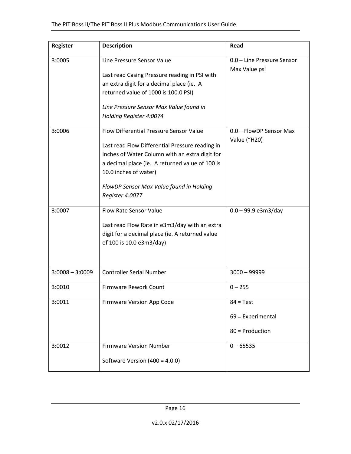| Register          | <b>Description</b>                                                                                                                                                                                                                                                                      | Read                                                  |
|-------------------|-----------------------------------------------------------------------------------------------------------------------------------------------------------------------------------------------------------------------------------------------------------------------------------------|-------------------------------------------------------|
| 3:0005            | Line Pressure Sensor Value<br>Last read Casing Pressure reading in PSI with<br>an extra digit for a decimal place (ie. A<br>returned value of 1000 is 100.0 PSI)<br>Line Pressure Sensor Max Value found in<br>Holding Register 4:0074                                                  | 0.0 - Line Pressure Sensor<br>Max Value psi           |
| 3:0006            | Flow Differential Pressure Sensor Value<br>Last read Flow Differential Pressure reading in<br>Inches of Water Column with an extra digit for<br>a decimal place (ie. A returned value of 100 is<br>10.0 inches of water)<br>FlowDP Sensor Max Value found in Holding<br>Register 4:0077 | 0.0 - FlowDP Sensor Max<br>Value ("H20)               |
| 3:0007            | <b>Flow Rate Sensor Value</b><br>Last read Flow Rate in e3m3/day with an extra<br>digit for a decimal place (ie. A returned value<br>of 100 is 10.0 e3m3/day)                                                                                                                           | $0.0 - 99.9$ e3m3/day                                 |
| $3:0008 - 3:0009$ | <b>Controller Serial Number</b>                                                                                                                                                                                                                                                         | $3000 - 99999$                                        |
| 3:0010            | <b>Firmware Rework Count</b>                                                                                                                                                                                                                                                            | $0 - 255$                                             |
| 3:0011            | Firmware Version App Code                                                                                                                                                                                                                                                               | $84 = Test$<br>$69$ = Experimental<br>80 = Production |
| 3:0012            | <b>Firmware Version Number</b><br>Software Version (400 = 4.0.0)                                                                                                                                                                                                                        | $0 - 65535$                                           |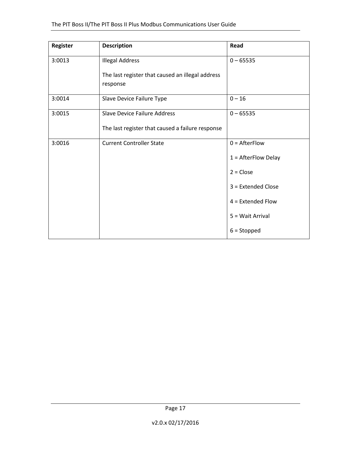| Register | <b>Description</b>                                           | Read                  |
|----------|--------------------------------------------------------------|-----------------------|
| 3:0013   | <b>Illegal Address</b>                                       | $0 - 65535$           |
|          | The last register that caused an illegal address<br>response |                       |
| 3:0014   | Slave Device Failure Type                                    | $0 - 16$              |
| 3:0015   | Slave Device Failure Address                                 | $0 - 65535$           |
|          | The last register that caused a failure response             |                       |
| 3:0016   | <b>Current Controller State</b>                              | $0 =$ AfterFlow       |
|          |                                                              | $1 =$ AfterFlow Delay |
|          |                                                              | $2 = Close$           |
|          |                                                              | 3 = Extended Close    |
|          |                                                              | $4$ = Extended Flow   |
|          |                                                              | 5 = Wait Arrival      |
|          |                                                              | $6 =$ Stopped         |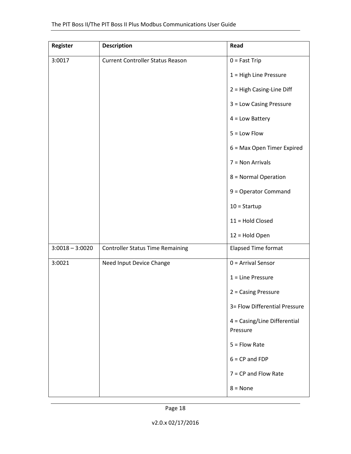| Register          | <b>Description</b>                      | Read                                     |
|-------------------|-----------------------------------------|------------------------------------------|
| 3:0017            | <b>Current Controller Status Reason</b> | $0 =$ Fast Trip                          |
|                   |                                         | $1 =$ High Line Pressure                 |
|                   |                                         | 2 = High Casing-Line Diff                |
|                   |                                         | 3 = Low Casing Pressure                  |
|                   |                                         | $4 = Low$ Battery                        |
|                   |                                         | $5 =$ Low Flow                           |
|                   |                                         | 6 = Max Open Timer Expired               |
|                   |                                         | $7 =$ Non Arrivals                       |
|                   |                                         | 8 = Normal Operation                     |
|                   |                                         | 9 = Operator Command                     |
|                   |                                         | $10 =$ Startup                           |
|                   |                                         | 11 = Hold Closed                         |
|                   |                                         | 12 = Hold Open                           |
| $3:0018 - 3:0020$ | <b>Controller Status Time Remaining</b> | <b>Elapsed Time format</b>               |
| 3:0021            | Need Input Device Change                | $0 =$ Arrival Sensor                     |
|                   |                                         | $1 =$ Line Pressure                      |
|                   |                                         | $2 = Casing$ Pressure                    |
|                   |                                         | 3= Flow Differential Pressure            |
|                   |                                         | 4 = Casing/Line Differential<br>Pressure |
|                   |                                         | $5 =$ Flow Rate                          |
|                   |                                         | $6 = CP$ and $FDP$                       |
|                   |                                         | $7 = CP$ and Flow Rate                   |
|                   |                                         | $8 = None$                               |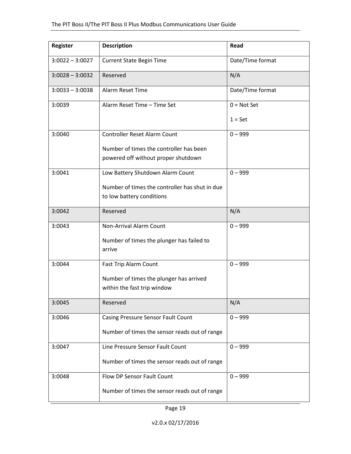| Register          | <b>Description</b>                             | Read             |
|-------------------|------------------------------------------------|------------------|
| $3:0022 - 3:0027$ | <b>Current State Begin Time</b>                | Date/Time format |
| $3:0028 - 3:0032$ | Reserved                                       | N/A              |
| $3:0033 - 3:0038$ | Alarm Reset Time                               | Date/Time format |
| 3:0039            | Alarm Reset Time - Time Set                    | $0 = Not Set$    |
|                   |                                                | $1 = Set$        |
| 3:0040            | Controller Reset Alarm Count                   | $0 - 999$        |
|                   | Number of times the controller has been        |                  |
|                   | powered off without proper shutdown            |                  |
| 3:0041            | Low Battery Shutdown Alarm Count               | $0 - 999$        |
|                   | Number of times the controller has shut in due |                  |
|                   | to low battery conditions                      |                  |
| 3:0042            | Reserved                                       | N/A              |
| 3:0043            | <b>Non-Arrival Alarm Count</b>                 | $0 - 999$        |
|                   | Number of times the plunger has failed to      |                  |
|                   | arrive                                         |                  |
| 3:0044            | Fast Trip Alarm Count                          | $0 - 999$        |
|                   | Number of times the plunger has arrived        |                  |
|                   | within the fast trip window                    |                  |
| 3:0045            | Reserved                                       | N/A              |
| 3:0046            | Casing Pressure Sensor Fault Count             | $0 - 999$        |
|                   | Number of times the sensor reads out of range  |                  |
| 3:0047            | Line Pressure Sensor Fault Count               | $0 - 999$        |
|                   | Number of times the sensor reads out of range  |                  |
| 3:0048            | Flow DP Sensor Fault Count                     | $0 - 999$        |
|                   | Number of times the sensor reads out of range  |                  |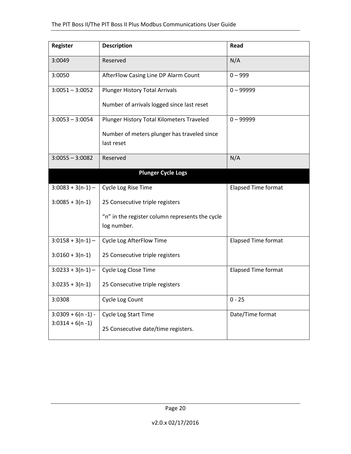| Register              | <b>Description</b>                                             | Read                       |
|-----------------------|----------------------------------------------------------------|----------------------------|
| 3:0049                | Reserved                                                       | N/A                        |
| 3:0050                | AfterFlow Casing Line DP Alarm Count                           | $0 - 999$                  |
| $3:0051 - 3:0052$     | <b>Plunger History Total Arrivals</b>                          | $0 - 99999$                |
|                       | Number of arrivals logged since last reset                     |                            |
| $3:0053 - 3:0054$     | Plunger History Total Kilometers Traveled                      | $0 - 99999$                |
|                       | Number of meters plunger has traveled since                    |                            |
|                       | last reset                                                     |                            |
| $3:0055 - 3:0082$     | Reserved                                                       | N/A                        |
|                       | <b>Plunger Cycle Logs</b>                                      |                            |
| $3:0083 + 3(n-1) -$   | Cycle Log Rise Time                                            | <b>Elapsed Time format</b> |
| $3:0085 + 3(n-1)$     | 25 Consecutive triple registers                                |                            |
|                       | "n" in the register column represents the cycle<br>log number. |                            |
|                       |                                                                |                            |
| $3:0158 + 3(n-1) -$   | Cycle Log AfterFlow Time                                       | <b>Elapsed Time format</b> |
| $3:0160 + 3(n-1)$     | 25 Consecutive triple registers                                |                            |
| $3:0233 + 3(n-1) -$   | Cycle Log Close Time                                           | <b>Elapsed Time format</b> |
| $3:0235 + 3(n-1)$     | 25 Consecutive triple registers                                |                            |
| 3:0308                | Cycle Log Count                                                | $0 - 25$                   |
| $3:0309 + 6(n - 1) -$ | Cycle Log Start Time                                           | Date/Time format           |
| $3:0314 + 6(n - 1)$   | 25 Consecutive date/time registers.                            |                            |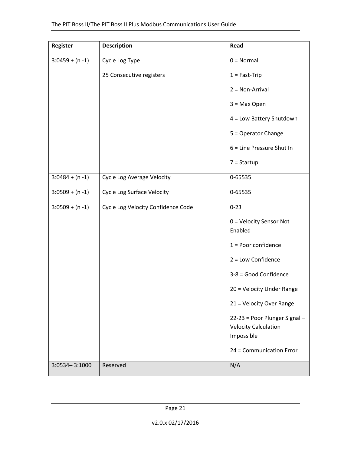| Register           | <b>Description</b>                 | Read                                                                       |
|--------------------|------------------------------------|----------------------------------------------------------------------------|
| $3:0459 + (n - 1)$ | Cycle Log Type                     | $0 = Normal$                                                               |
|                    | 25 Consecutive registers           | $1 = Fast-Trip$                                                            |
|                    |                                    | $2 = Non-Arrival$                                                          |
|                    |                                    | $3 = Max Open$                                                             |
|                    |                                    | 4 = Low Battery Shutdown                                                   |
|                    |                                    | 5 = Operator Change                                                        |
|                    |                                    | 6 = Line Pressure Shut In                                                  |
|                    |                                    | $7 =$ Startup                                                              |
| $3:0484 + (n - 1)$ | <b>Cycle Log Average Velocity</b>  | 0-65535                                                                    |
| $3:0509 + (n - 1)$ | <b>Cycle Log Surface Velocity</b>  | 0-65535                                                                    |
| $3:0509 + (n - 1)$ | Cycle Log Velocity Confidence Code | $0 - 23$                                                                   |
|                    |                                    | 0 = Velocity Sensor Not<br>Enabled                                         |
|                    |                                    | $1 =$ Poor confidence                                                      |
|                    |                                    | $2 = Low$ Confidence                                                       |
|                    |                                    | 3-8 = Good Confidence                                                      |
|                    |                                    | 20 = Velocity Under Range                                                  |
|                    |                                    | 21 = Velocity Over Range                                                   |
|                    |                                    | 22-23 = Poor Plunger Signal -<br><b>Velocity Calculation</b><br>Impossible |
|                    |                                    | 24 = Communication Error                                                   |
| 3:0534-3:1000      | Reserved                           | N/A                                                                        |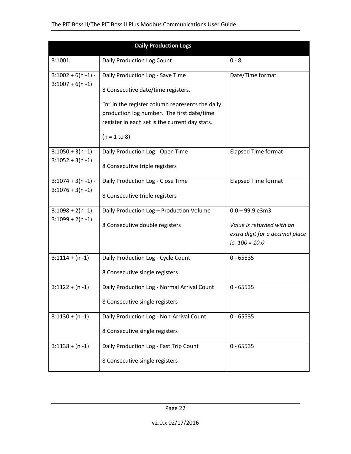|                       | <b>Daily Production Logs</b>                    |                                 |
|-----------------------|-------------------------------------------------|---------------------------------|
| 3:1001                | Daily Production Log Count                      | $0 - 8$                         |
| $3:1002 + 6(n - 1) -$ | Daily Production Log - Save Time                | Date/Time format                |
| $3:1007 + 6(n-1)$     | 8 Consecutive date/time registers.              |                                 |
|                       | "n" in the register column represents the daily |                                 |
|                       | production log number. The first date/time      |                                 |
|                       | register in each set is the current day stats.  |                                 |
|                       | $(n = 1 to 8)$                                  |                                 |
| $3:1050 + 3(n - 1) -$ | Daily Production Log - Open Time                | <b>Elapsed Time format</b>      |
| $3:1052 + 3(n - 1)$   | 8 Consecutive triple registers                  |                                 |
| $3:1074 + 3(n - 1) -$ | Daily Production Log - Close Time               | <b>Elapsed Time format</b>      |
| $3:1076 + 3(n - 1)$   | 8 Consecutive triple registers                  |                                 |
| $3:1098 + 2(n - 1)$ - | Daily Production Log - Production Volume        | $0.0 - 99.9$ e3m3               |
| $3:1099 + 2(n-1)$     | 8 Consecutive double registers                  | Value is returned with an       |
|                       |                                                 | extra digit for a decimal place |
|                       |                                                 | ie. $100 = 10.0$                |
| $3:1114 + (n - 1)$    | Daily Production Log - Cycle Count              | $0 - 65535$                     |
|                       | 8 Consecutive single registers                  |                                 |
| $3:1122 + (n - 1)$    | Daily Production Log - Normal Arrival Count     | $0 - 65535$                     |
|                       | 8 Consecutive single registers                  |                                 |
| $3:1130 + (n - 1)$    | Daily Production Log - Non-Arrival Count        | $0 - 65535$                     |
|                       | 8 Consecutive single registers                  |                                 |
| $3:1138 + (n - 1)$    | Daily Production Log - Fast Trip Count          | $0 - 65535$                     |
|                       | 8 Consecutive single registers                  |                                 |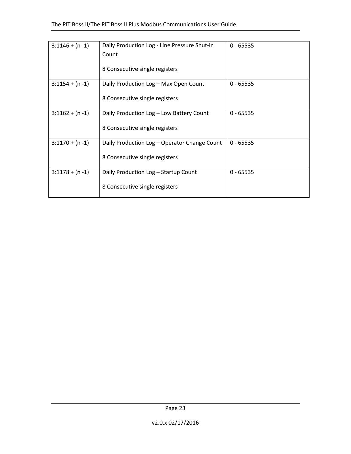| $3:1146 + (n - 1)$ | Daily Production Log - Line Pressure Shut-in<br>Count | $0 - 65535$ |
|--------------------|-------------------------------------------------------|-------------|
|                    | 8 Consecutive single registers                        |             |
| $3:1154 + (n - 1)$ | Daily Production Log - Max Open Count                 | $0 - 65535$ |
|                    | 8 Consecutive single registers                        |             |
| $3:1162 + (n - 1)$ | Daily Production Log - Low Battery Count              | $0 - 65535$ |
|                    | 8 Consecutive single registers                        |             |
| $3:1170 + (n - 1)$ | Daily Production Log - Operator Change Count          | $0 - 65535$ |
|                    | 8 Consecutive single registers                        |             |
| $3:1178 + (n - 1)$ | Daily Production Log - Startup Count                  | $0 - 65535$ |
|                    | 8 Consecutive single registers                        |             |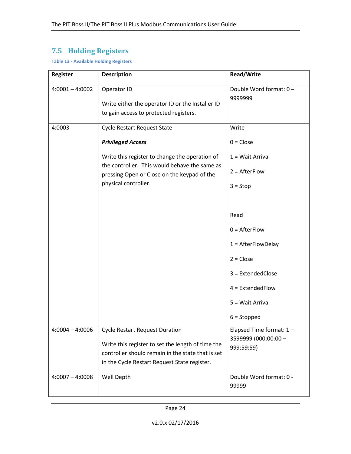# **7.5 Holding Registers**

<span id="page-28-0"></span>**Table 13 - Available Holding Registers**

| Register          | <b>Description</b>                                                                                                                                                                                                                       | <b>Read/Write</b>                                                                                                                                |
|-------------------|------------------------------------------------------------------------------------------------------------------------------------------------------------------------------------------------------------------------------------------|--------------------------------------------------------------------------------------------------------------------------------------------------|
| $4:0001 - 4:0002$ | Operator ID<br>Write either the operator ID or the Installer ID<br>to gain access to protected registers.                                                                                                                                | Double Word format: 0-<br>9999999                                                                                                                |
| 4:0003            | <b>Cycle Restart Request State</b><br><b>Privileged Access</b><br>Write this register to change the operation of<br>the controller. This would behave the same as<br>pressing Open or Close on the keypad of the<br>physical controller. | Write<br>$0 = Close$<br>1 = Wait Arrival<br>$2 =$ AfterFlow<br>$3 = Stop$                                                                        |
|                   |                                                                                                                                                                                                                                          | Read<br>$0 =$ AfterFlow<br>$1 =$ AfterFlowDelay<br>$2 = Close$<br>$3$ = ExtendedClose<br>$4$ = ExtendedFlow<br>5 = Wait Arrival<br>$6 =$ Stopped |
| $4:0004 - 4:0006$ | <b>Cycle Restart Request Duration</b><br>Write this register to set the length of time the<br>controller should remain in the state that is set<br>in the Cycle Restart Request State register.                                          | Elapsed Time format: $1 -$<br>3599999 (000:00:00 -<br>999:59:59)                                                                                 |
| $4:0007 - 4:0008$ | Well Depth                                                                                                                                                                                                                               | Double Word format: 0 -<br>99999                                                                                                                 |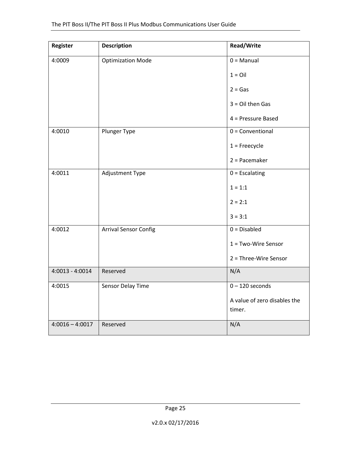| Register          | <b>Description</b>           | Read/Write                             |
|-------------------|------------------------------|----------------------------------------|
| 4:0009            | <b>Optimization Mode</b>     | $0 =$ Manual                           |
|                   |                              | $1 =$ Oil                              |
|                   |                              | $2 = Gas$                              |
|                   |                              | $3 =$ Oil then Gas                     |
|                   |                              | 4 = Pressure Based                     |
| 4:0010            | Plunger Type                 | $0 = Conventional$                     |
|                   |                              | $1 =$ Freecycle                        |
|                   |                              | $2 = Pacemaker$                        |
| 4:0011            | Adjustment Type              | $0 =$ Escalating                       |
|                   |                              | $1 = 1:1$                              |
|                   |                              | $2 = 2:1$                              |
|                   |                              | $3 = 3:1$                              |
| 4:0012            | <b>Arrival Sensor Config</b> | $0 = Disabled$                         |
|                   |                              | $1 = Two-Wire$ Sensor                  |
|                   |                              | 2 = Three-Wire Sensor                  |
| $4:0013 - 4:0014$ | Reserved                     | N/A                                    |
| 4:0015            | Sensor Delay Time            | $0 - 120$ seconds                      |
|                   |                              | A value of zero disables the<br>timer. |
| $4:0016 - 4:0017$ | Reserved                     | N/A                                    |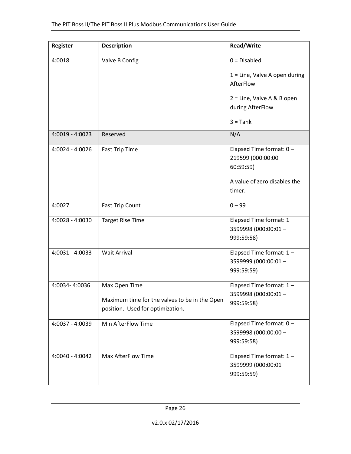| <b>Register</b>   | <b>Description</b>                                                                                 | <b>Read/Write</b>                                                |
|-------------------|----------------------------------------------------------------------------------------------------|------------------------------------------------------------------|
| 4:0018            | Valve B Config                                                                                     | $0 = Disable$                                                    |
|                   |                                                                                                    | $1 =$ Line, Valve A open during<br>AfterFlow                     |
|                   |                                                                                                    | 2 = Line, Valve A & B open<br>during AfterFlow                   |
|                   |                                                                                                    | $3 =$ Tank                                                       |
| $4:0019 - 4:0023$ | Reserved                                                                                           | N/A                                                              |
| $4:0024 - 4:0026$ | <b>Fast Trip Time</b>                                                                              | Elapsed Time format: $0 -$<br>219599 (000:00:00 -<br>60:59:59)   |
|                   |                                                                                                    | A value of zero disables the<br>timer.                           |
| 4:0027            | <b>Fast Trip Count</b>                                                                             | $0 - 99$                                                         |
| 4:0028 - 4:0030   | <b>Target Rise Time</b>                                                                            | Elapsed Time format: $1 -$<br>3599998 (000:00:01 -<br>999:59:58) |
| 4:0031 - 4:0033   | <b>Wait Arrival</b>                                                                                | Elapsed Time format: $1 -$<br>3599999 (000:00:01 -<br>999:59:59) |
| 4:0034-4:0036     | Max Open Time<br>Maximum time for the valves to be in the Open<br>position. Used for optimization. | Elapsed Time format: $1 -$<br>3599998 (000:00:01 -<br>999:59:58) |
| 4:0037 - 4:0039   | Min AfterFlow Time                                                                                 | Elapsed Time format: $0 -$<br>3599998 (000:00:00 -<br>999:59:58) |
| 4:0040 - 4:0042   | <b>Max AfterFlow Time</b>                                                                          | Elapsed Time format: $1 -$<br>3599999 (000:00:01 -<br>999:59:59) |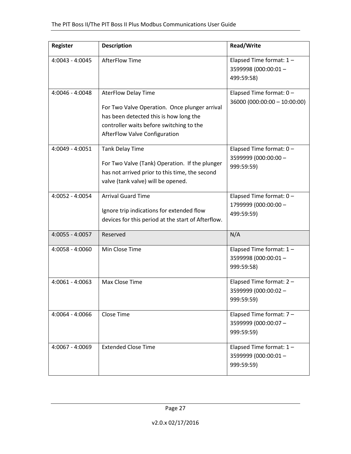| Register          | <b>Description</b>                                                                                                                                                                                 | <b>Read/Write</b>                                                |
|-------------------|----------------------------------------------------------------------------------------------------------------------------------------------------------------------------------------------------|------------------------------------------------------------------|
| 4:0043 - 4:0045   | <b>AfterFlow Time</b>                                                                                                                                                                              | Elapsed Time format: 1-<br>3599998 (000:00:01-<br>499:59:58)     |
| 4:0046 - 4:0048   | <b>AterFlow Delay Time</b><br>For Two Valve Operation. Once plunger arrival<br>has been detected this is how long the<br>controller waits before switching to the<br>AfterFlow Valve Configuration | Elapsed Time format: $0 -$<br>36000 (000:00:00 - 10:00:00)       |
| 4:0049 - 4:0051   | <b>Tank Delay Time</b><br>For Two Valve (Tank) Operation. If the plunger<br>has not arrived prior to this time, the second<br>valve (tank valve) will be opened.                                   | Elapsed Time format: $0 -$<br>3599999 (000:00:00 -<br>999:59:59) |
| 4:0052 - 4:0054   | <b>Arrival Guard Time</b><br>Ignore trip indications for extended flow<br>devices for this period at the start of Afterflow.                                                                       | Elapsed Time format: $0 -$<br>1799999 (000:00:00 -<br>499:59:59) |
| 4:0055 - 4:0057   | Reserved                                                                                                                                                                                           | N/A                                                              |
| 4:0058 - 4:0060   | Min Close Time                                                                                                                                                                                     | Elapsed Time format: 1-<br>3599998 (000:00:01 -<br>999:59:58)    |
| $4:0061 - 4:0063$ | Max Close Time                                                                                                                                                                                     | Elapsed Time format: $2 -$<br>3599999 (000:00:02 -<br>999:59:59) |
| 4:0064 - 4:0066   | Close Time                                                                                                                                                                                         | Elapsed Time format: $7 -$<br>3599999 (000:00:07 -<br>999:59:59) |
| 4:0067 - 4:0069   | <b>Extended Close Time</b>                                                                                                                                                                         | Elapsed Time format: $1 -$<br>3599999 (000:00:01 -<br>999:59:59) |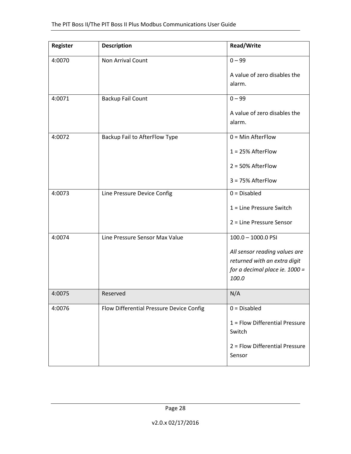| <b>Register</b> | <b>Description</b>                       | <b>Read/Write</b>                                                                                        |
|-----------------|------------------------------------------|----------------------------------------------------------------------------------------------------------|
| 4:0070          | Non Arrival Count                        | $0 - 99$                                                                                                 |
|                 |                                          | A value of zero disables the<br>alarm.                                                                   |
| 4:0071          | <b>Backup Fail Count</b>                 | $0 - 99$                                                                                                 |
|                 |                                          | A value of zero disables the<br>alarm.                                                                   |
| 4:0072          | Backup Fail to AfterFlow Type            | $0 = Min$ AfterFlow                                                                                      |
|                 |                                          | $1 = 25%$ AfterFlow                                                                                      |
|                 |                                          | $2 = 50\%$ AfterFlow                                                                                     |
|                 |                                          | $3 = 75%$ AfterFlow                                                                                      |
| 4:0073          | Line Pressure Device Config              | $0 = Disabled$                                                                                           |
|                 |                                          | $1 =$ Line Pressure Switch                                                                               |
|                 |                                          | 2 = Line Pressure Sensor                                                                                 |
| 4:0074          | Line Pressure Sensor Max Value           | $100.0 - 1000.0$ PSI                                                                                     |
|                 |                                          | All sensor reading values are<br>returned with an extra digit<br>for a decimal place ie. 1000 =<br>100.0 |
| 4:0075          | Reserved                                 | N/A                                                                                                      |
| 4:0076          | Flow Differential Pressure Device Config | $0 = Disable$                                                                                            |
|                 |                                          | 1 = Flow Differential Pressure<br>Switch                                                                 |
|                 |                                          | 2 = Flow Differential Pressure<br>Sensor                                                                 |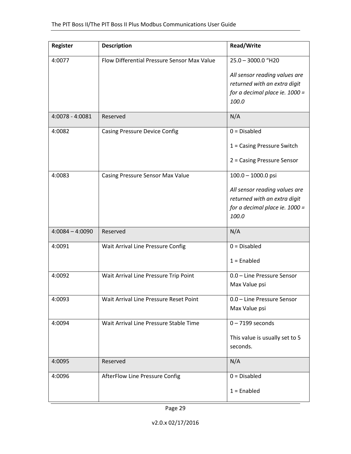| <b>Register</b>   | <b>Description</b>                          | <b>Read/Write</b>                       |
|-------------------|---------------------------------------------|-----------------------------------------|
| 4:0077            | Flow Differential Pressure Sensor Max Value | $25.0 - 3000.0$ "H20                    |
|                   |                                             | All sensor reading values are           |
|                   |                                             | returned with an extra digit            |
|                   |                                             | for a decimal place ie. 1000 =<br>100.0 |
|                   |                                             |                                         |
| 4:0078 - 4:0081   | Reserved                                    | N/A                                     |
| 4:0082            | <b>Casing Pressure Device Config</b>        | $0 = Disable$                           |
|                   |                                             | $1 =$ Casing Pressure Switch            |
|                   |                                             | 2 = Casing Pressure Sensor              |
| 4:0083            | Casing Pressure Sensor Max Value            | $100.0 - 1000.0$ psi                    |
|                   |                                             | All sensor reading values are           |
|                   |                                             | returned with an extra digit            |
|                   |                                             | for a decimal place ie. 1000 =<br>100.0 |
|                   |                                             |                                         |
| $4:0084 - 4:0090$ | Reserved                                    | N/A                                     |
| 4:0091            | Wait Arrival Line Pressure Config           | $0 = Disable$                           |
|                   |                                             | $1 =$ Enabled                           |
| 4:0092            | Wait Arrival Line Pressure Trip Point       | 0.0 - Line Pressure Sensor              |
|                   |                                             | Max Value psi                           |
| 4:0093            | Wait Arrival Line Pressure Reset Point      | 0.0 - Line Pressure Sensor              |
|                   |                                             | Max Value psi                           |
| 4:0094            | Wait Arrival Line Pressure Stable Time      | $0 - 7199$ seconds                      |
|                   |                                             | This value is usually set to 5          |
|                   |                                             | seconds.                                |
| 4:0095            | Reserved                                    | N/A                                     |
| 4:0096            | AfterFlow Line Pressure Config              | $0 = Disabled$                          |
|                   |                                             | $1 =$ Enabled                           |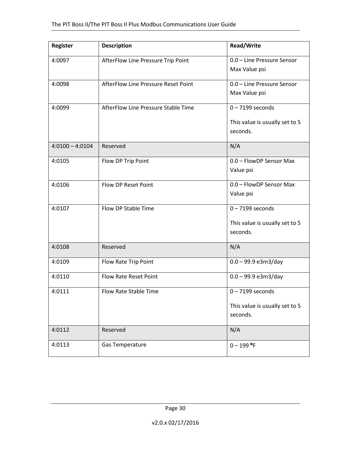| <b>Register</b>   | <b>Description</b>                  | <b>Read/Write</b>                                                |
|-------------------|-------------------------------------|------------------------------------------------------------------|
| 4:0097            | AfterFlow Line Pressure Trip Point  | 0.0 - Line Pressure Sensor<br>Max Value psi                      |
| 4:0098            | AfterFlow Line Pressure Reset Point | 0.0 - Line Pressure Sensor<br>Max Value psi                      |
| 4:0099            | AfterFlow Line Pressure Stable Time | $0 - 7199$ seconds<br>This value is usually set to 5<br>seconds. |
| $4:0100 - 4:0104$ | Reserved                            | N/A                                                              |
| 4:0105            | Flow DP Trip Point                  | 0.0 - FlowDP Sensor Max<br>Value psi                             |
| 4:0106            | Flow DP Reset Point                 | 0.0 - FlowDP Sensor Max<br>Value psi                             |
| 4:0107            | Flow DP Stable Time                 | $0 - 7199$ seconds<br>This value is usually set to 5<br>seconds. |
| 4:0108            | Reserved                            | N/A                                                              |
| 4:0109            | Flow Rate Trip Point                | $0.0 - 99.9$ e3m3/day                                            |
| 4:0110            | Flow Rate Reset Point               | $0.0 - 99.9$ e3m3/day                                            |
| 4:0111            | Flow Rate Stable Time               | $0 - 7199$ seconds<br>This value is usually set to 5<br>seconds. |
| 4:0112            | Reserved                            | N/A                                                              |
| 4:0113            | Gas Temperature                     | $0 - 199$ °F                                                     |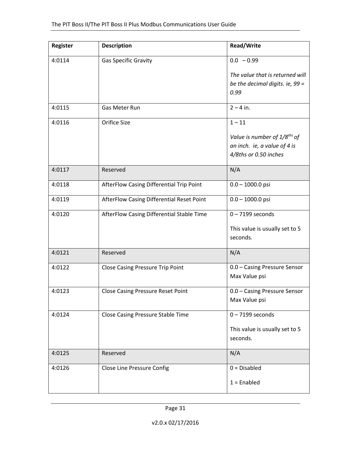| Register | <b>Description</b>                        | <b>Read/Write</b>                        |
|----------|-------------------------------------------|------------------------------------------|
| 4:0114   | Gas Specific Gravity                      | $0.0 - 0.99$                             |
|          |                                           | The value that is returned will          |
|          |                                           | be the decimal digits. ie, 99 =          |
|          |                                           | 0.99                                     |
| 4:0115   | Gas Meter Run                             | $2 - 4$ in.                              |
| 4:0116   | <b>Orifice Size</b>                       | $1 - 11$                                 |
|          |                                           | Value is number of 1/8 <sup>ths</sup> of |
|          |                                           | an inch. ie, a value of 4 is             |
|          |                                           | 4/8ths or 0.50 inches                    |
| 4:0117   | Reserved                                  | N/A                                      |
| 4:0118   | AfterFlow Casing Differential Trip Point  | $0.0 - 1000.0$ psi                       |
| 4:0119   | AfterFlow Casing Differential Reset Point | $0.0 - 1000.0$ psi                       |
| 4:0120   | AfterFlow Casing Differential Stable Time | $0 - 7199$ seconds                       |
|          |                                           | This value is usually set to 5           |
|          |                                           | seconds.                                 |
| 4:0121   | Reserved                                  | N/A                                      |
| 4:0122   | <b>Close Casing Pressure Trip Point</b>   | 0.0 - Casing Pressure Sensor             |
|          |                                           | Max Value psi                            |
| 4:0123   | <b>Close Casing Pressure Reset Point</b>  | 0.0 - Casing Pressure Sensor             |
|          |                                           | Max Value psi                            |
| 4:0124   | <b>Close Casing Pressure Stable Time</b>  | $0 - 7199$ seconds                       |
|          |                                           | This value is usually set to 5           |
|          |                                           | seconds.                                 |
| 4:0125   | Reserved                                  | N/A                                      |
| 4:0126   | <b>Close Line Pressure Config</b>         | $0 = Disable$                            |
|          |                                           | $1 =$ Enabled                            |
|          |                                           |                                          |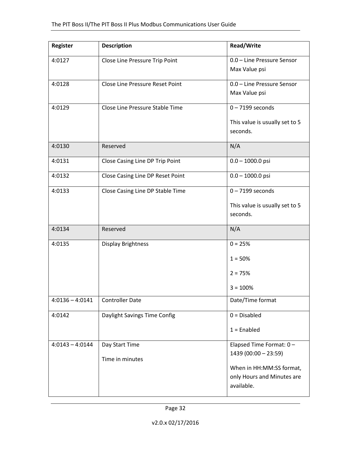| Register          | <b>Description</b>                     | <b>Read/Write</b>                                |
|-------------------|----------------------------------------|--------------------------------------------------|
| 4:0127            | Close Line Pressure Trip Point         | 0.0 - Line Pressure Sensor<br>Max Value psi      |
| 4:0128            | <b>Close Line Pressure Reset Point</b> | 0.0 - Line Pressure Sensor<br>Max Value psi      |
| 4:0129            | Close Line Pressure Stable Time        | $0 - 7199$ seconds                               |
|                   |                                        | This value is usually set to 5<br>seconds.       |
| 4:0130            | Reserved                               | N/A                                              |
| 4:0131            | Close Casing Line DP Trip Point        | $0.0 - 1000.0$ psi                               |
| 4:0132            | Close Casing Line DP Reset Point       | $0.0 - 1000.0$ psi                               |
| 4:0133            | Close Casing Line DP Stable Time       | $0 - 7199$ seconds                               |
|                   |                                        | This value is usually set to 5<br>seconds.       |
| 4:0134            | Reserved                               | N/A                                              |
| 4:0135            | <b>Display Brightness</b>              | $0 = 25%$                                        |
|                   |                                        | $1 = 50%$                                        |
|                   |                                        | $2 = 75%$                                        |
|                   |                                        | $3 = 100%$                                       |
| $4:0136 - 4:0141$ | <b>Controller Date</b>                 | Date/Time format                                 |
| 4:0142            | Daylight Savings Time Config           | $0 = Disable$                                    |
|                   |                                        | $1 =$ Enabled                                    |
| $4:0143 - 4:0144$ | Day Start Time                         | Elapsed Time Format: 0-<br>$1439(00:00 - 23:59)$ |
|                   | Time in minutes                        | When in HH:MM:SS format,                         |
|                   |                                        | only Hours and Minutes are<br>available.         |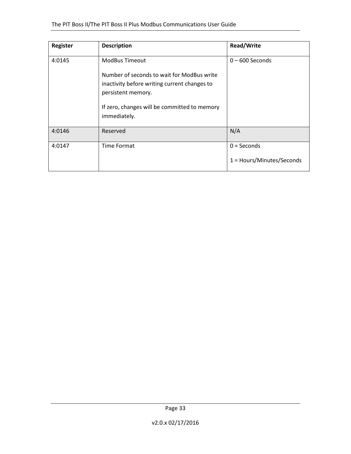| Register | <b>Description</b>                                                                                                                                                               | <b>Read/Write</b>         |
|----------|----------------------------------------------------------------------------------------------------------------------------------------------------------------------------------|---------------------------|
| 4:0145   | <b>ModBus Timeout</b>                                                                                                                                                            | $0 - 600$ Seconds         |
|          | Number of seconds to wait for ModBus write<br>inactivity before writing current changes to<br>persistent memory.<br>If zero, changes will be committed to memory<br>immediately. |                           |
| 4:0146   | Reserved                                                                                                                                                                         | N/A                       |
| 4:0147   | Time Format                                                                                                                                                                      | $0 =$ Seconds             |
|          |                                                                                                                                                                                  | 1 = Hours/Minutes/Seconds |